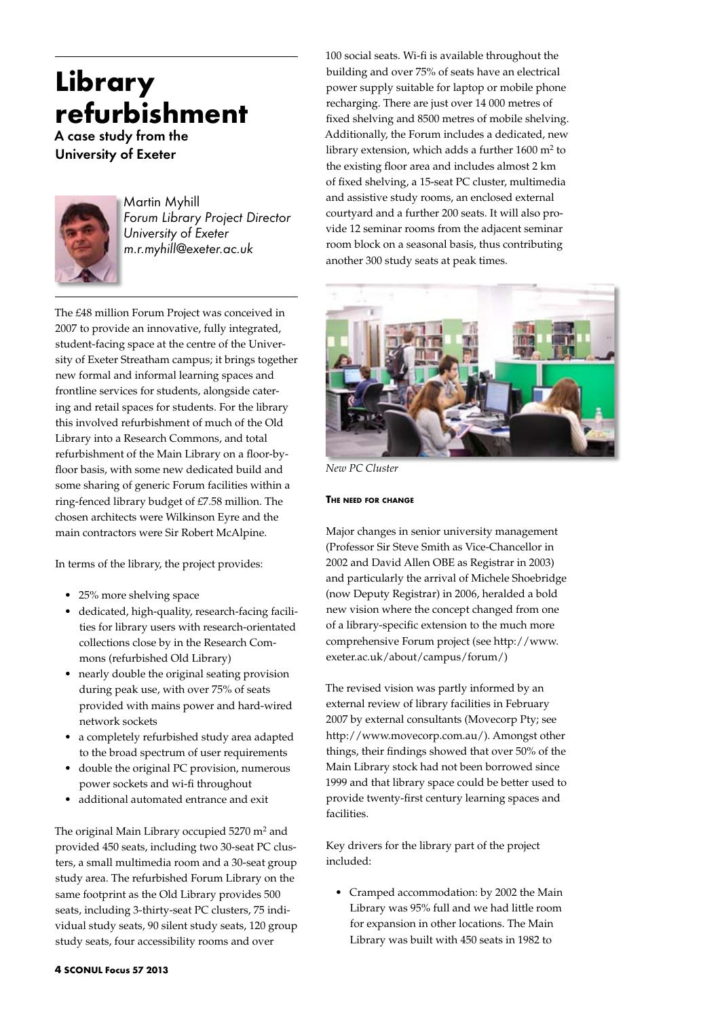# **Library refurbishment**

A case study from the University of Exeter



Martin Myhill *Forum Library Project Director University of Exeter m.r.myhill@exeter.ac.uk*

The £48 million Forum Project was conceived in 2007 to provide an innovative, fully integrated, student-facing space at the centre of the University of Exeter Streatham campus; it brings together new formal and informal learning spaces and frontline services for students, alongside catering and retail spaces for students. For the library this involved refurbishment of much of the Old Library into a Research Commons, and total refurbishment of the Main Library on a floor-byfloor basis, with some new dedicated build and some sharing of generic Forum facilities within a ring-fenced library budget of £7.58 million. The chosen architects were Wilkinson Eyre and the main contractors were Sir Robert McAlpine.

In terms of the library, the project provides:

- 25% more shelving space
- • dedicated, high-quality, research-facing facilities for library users with research-orientated collections close by in the Research Commons (refurbished Old Library)
- nearly double the original seating provision during peak use, with over 75% of seats provided with mains power and hard-wired network sockets
- • a completely refurbished study area adapted to the broad spectrum of user requirements
- • double the original PC provision, numerous power sockets and wi-fi throughout
- additional automated entrance and exit

The original Main Library occupied 5270 m<sup>2</sup> and provided 450 seats, including two 30-seat PC clusters, a small multimedia room and a 30-seat group study area. The refurbished Forum Library on the same footprint as the Old Library provides 500 seats, including 3-thirty-seat PC clusters, 75 individual study seats, 90 silent study seats, 120 group study seats, four accessibility rooms and over

100 social seats. Wi-fi is available throughout the building and over 75% of seats have an electrical power supply suitable for laptop or mobile phone recharging. There are just over 14 000 metres of fixed shelving and 8500 metres of mobile shelving. Additionally, the Forum includes a dedicated, new library extension, which adds a further 1600 m2 to the existing floor area and includes almost 2 km of fixed shelving, a 15-seat PC cluster, multimedia and assistive study rooms, an enclosed external courtyard and a further 200 seats. It will also provide 12 seminar rooms from the adjacent seminar room block on a seasonal basis, thus contributing another 300 study seats at peak times.



*New PC Cluster*

# **The need for change**

Major changes in senior university management (Professor Sir Steve Smith as Vice-Chancellor in 2002 and David Allen OBE as Registrar in 2003) and particularly the arrival of Michele Shoebridge (now Deputy Registrar) in 2006, heralded a bold new vision where the concept changed from one of a library-specific extension to the much more comprehensive Forum project (see http://www. exeter.ac.uk/about/campus/forum/)

The revised vision was partly informed by an external review of library facilities in February 2007 by external consultants (Movecorp Pty; see http://www.movecorp.com.au/). Amongst other things, their findings showed that over 50% of the Main Library stock had not been borrowed since 1999 and that library space could be better used to provide twenty-first century learning spaces and facilities.

Key drivers for the library part of the project included:

• Cramped accommodation: by 2002 the Main Library was 95% full and we had little room for expansion in other locations. The Main Library was built with 450 seats in 1982 to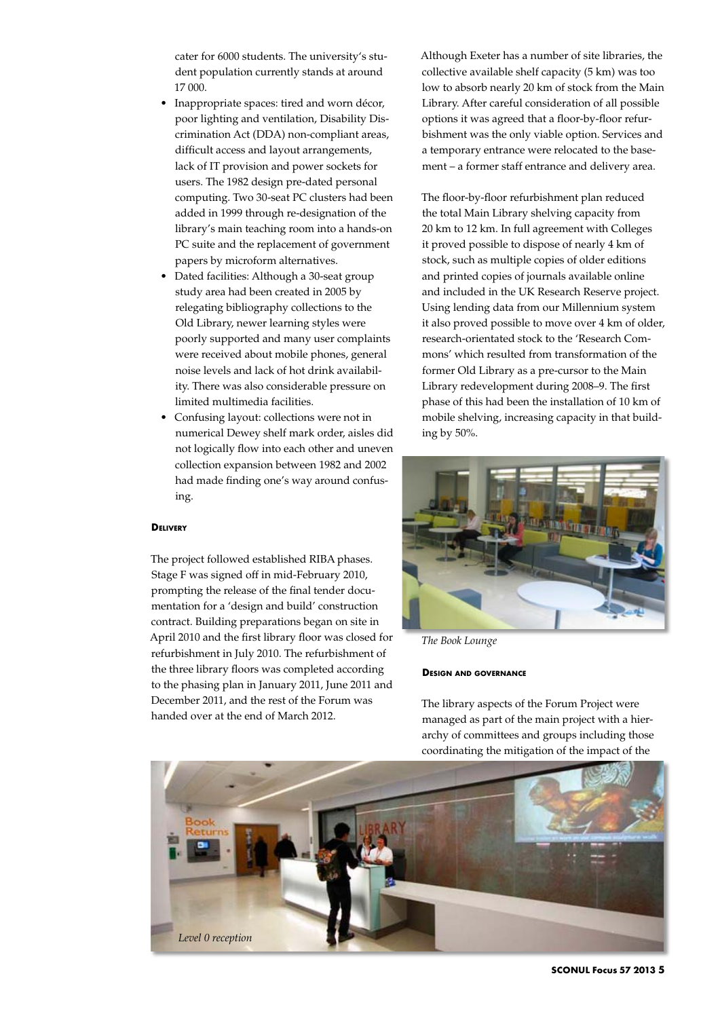cater for 6000 students. The university's student population currently stands at around 17 000.

- Inappropriate spaces: tired and worn décor, poor lighting and ventilation, Disability Discrimination Act (DDA) non-compliant areas, difficult access and layout arrangements, lack of IT provision and power sockets for users. The 1982 design pre-dated personal computing. Two 30-seat PC clusters had been added in 1999 through re-designation of the library's main teaching room into a hands-on PC suite and the replacement of government papers by microform alternatives.
- Dated facilities: Although a 30-seat group study area had been created in 2005 by relegating bibliography collections to the Old Library, newer learning styles were poorly supported and many user complaints were received about mobile phones, general noise levels and lack of hot drink availability. There was also considerable pressure on limited multimedia facilities.
- • Confusing layout: collections were not in numerical Dewey shelf mark order, aisles did not logically flow into each other and uneven collection expansion between 1982 and 2002 had made finding one's way around confusing.

## **Delivery**

The project followed established RIBA phases. Stage F was signed off in mid-February 2010, prompting the release of the final tender documentation for a 'design and build' construction contract. Building preparations began on site in April 2010 and the first library floor was closed for refurbishment in July 2010. The refurbishment of the three library floors was completed according to the phasing plan in January 2011, June 2011 and December 2011, and the rest of the Forum was handed over at the end of March 2012.

Although Exeter has a number of site libraries, the collective available shelf capacity (5 km) was too low to absorb nearly 20 km of stock from the Main Library. After careful consideration of all possible options it was agreed that a floor-by-floor refurbishment was the only viable option. Services and a temporary entrance were relocated to the basement – a former staff entrance and delivery area.

The floor-by-floor refurbishment plan reduced the total Main Library shelving capacity from 20 km to 12 km. In full agreement with Colleges it proved possible to dispose of nearly 4 km of stock, such as multiple copies of older editions and printed copies of journals available online and included in the UK Research Reserve project. Using lending data from our Millennium system it also proved possible to move over 4 km of older, research-orientated stock to the 'Research Commons' which resulted from transformation of the former Old Library as a pre-cursor to the Main Library redevelopment during 2008–9. The first phase of this had been the installation of 10 km of mobile shelving, increasing capacity in that building by 50%.



*The Book Lounge*

# **Design and governance**

The library aspects of the Forum Project were managed as part of the main project with a hierarchy of committees and groups including those coordinating the mitigation of the impact of the